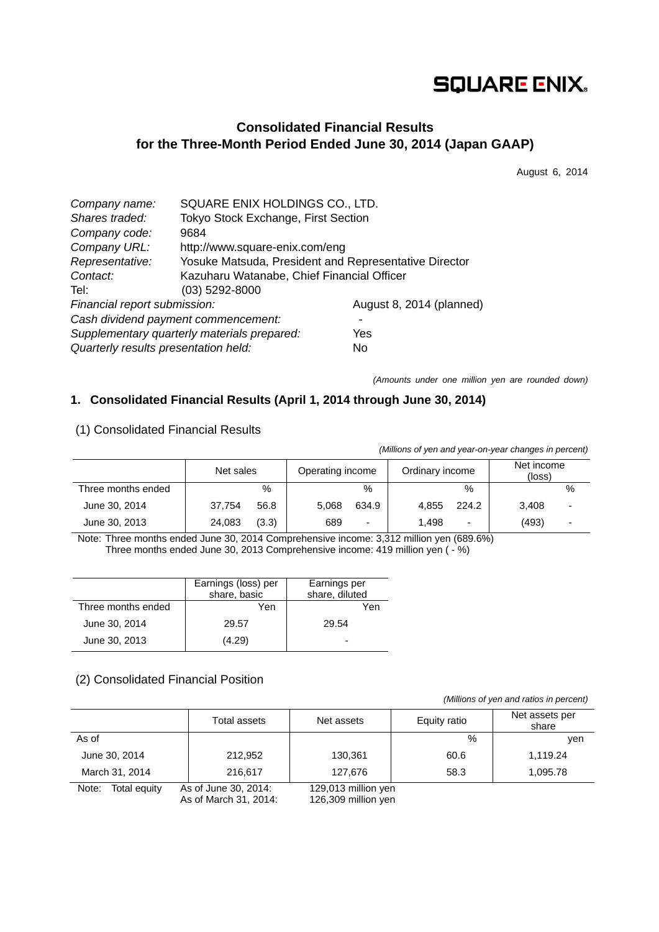# **SQUARE ENIX.**

# **Consolidated Financial Results for the Three-Month Period Ended June 30, 2014 (Japan GAAP)**

August 6, 2014

| Company name:                        | SQUARE ENIX HOLDINGS CO., LTD.                        |                          |  |  |  |
|--------------------------------------|-------------------------------------------------------|--------------------------|--|--|--|
| Shares traded:                       | Tokyo Stock Exchange, First Section                   |                          |  |  |  |
| Company code:                        | 9684                                                  |                          |  |  |  |
| Company URL:                         | http://www.square-enix.com/eng                        |                          |  |  |  |
| Representative:                      | Yosuke Matsuda, President and Representative Director |                          |  |  |  |
| Contact:                             | Kazuharu Watanabe, Chief Financial Officer            |                          |  |  |  |
| Tel:                                 | $(03)$ 5292-8000                                      |                          |  |  |  |
| Financial report submission:         |                                                       | August 8, 2014 (planned) |  |  |  |
| Cash dividend payment commencement:  |                                                       |                          |  |  |  |
|                                      | Supplementary quarterly materials prepared:           | Yes                      |  |  |  |
| Quarterly results presentation held: |                                                       | No.                      |  |  |  |

*(Amounts under one million yen are rounded down)* 

# **1. Consolidated Financial Results (April 1, 2014 through June 30, 2014)**

| (Millions of yen and year-on-year changes in percent) |           |       |                  |                          |                 |       |                      |      |
|-------------------------------------------------------|-----------|-------|------------------|--------------------------|-----------------|-------|----------------------|------|
|                                                       | Net sales |       | Operating income |                          | Ordinary income |       | Net income<br>(loss) |      |
| Three months ended                                    |           | %     |                  | $\%$                     |                 | $\%$  |                      | $\%$ |
| June 30, 2014                                         | 37.754    | 56.8  | 5.068            | 634.9                    | 4.855           | 224.2 | 3.408                |      |
| June 30, 2013                                         | 24,083    | (3.3) | 689              | $\overline{\phantom{a}}$ | 1.498           | -     | (493)                |      |

### (1) Consolidated Financial Results

Note: Three months ended June 30, 2014 Comprehensive income: 3,312 million yen (689.6%) Three months ended June 30, 2013 Comprehensive income: 419 million yen ( - %)

|                    | Earnings (loss) per<br>share, basic | Earnings per<br>share, diluted |
|--------------------|-------------------------------------|--------------------------------|
| Three months ended | Yen                                 | Yen                            |
| June 30, 2014      | 29.57                               | 29.54                          |
| June 30, 2013      | (4.29)                              | -                              |

# (2) Consolidated Financial Position

 *(Millions of yen and ratios in percent)*

|                       | Total assets                                  | Net assets                                 | Equity ratio | Net assets per<br>share |
|-----------------------|-----------------------------------------------|--------------------------------------------|--------------|-------------------------|
| As of                 |                                               |                                            | %            | ven                     |
| June 30, 2014         | 212,952                                       | 130,361                                    | 60.6         | 1,119.24                |
| March 31, 2014        | 216.617<br>127,676                            |                                            | 58.3         | 1,095.78                |
| Note:<br>Total equity | As of June 30, 2014:<br>As of March 31, 2014: | 129,013 million yen<br>126,309 million yen |              |                         |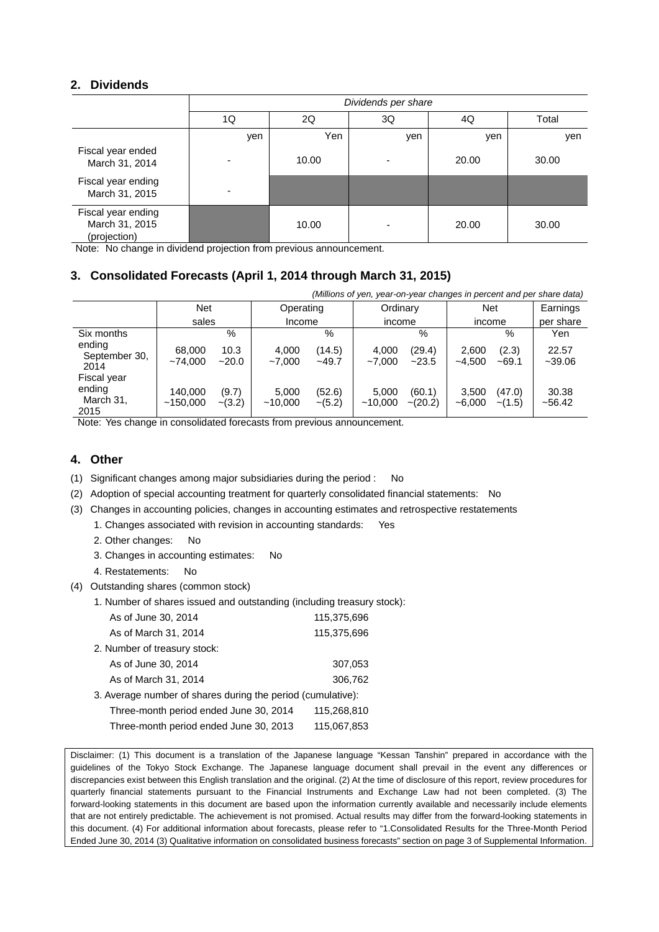### **2. Dividends**

|                                                      | Dividends per share |       |     |       |       |  |  |  |
|------------------------------------------------------|---------------------|-------|-----|-------|-------|--|--|--|
|                                                      | 1Q                  | 2Q    | 3Q  | 4Q    | Total |  |  |  |
|                                                      | yen                 | Yen   | yen | yen   | yen   |  |  |  |
| Fiscal year ended<br>March 31, 2014                  |                     | 10.00 |     | 20.00 | 30.00 |  |  |  |
| Fiscal year ending<br>March 31, 2015                 |                     |       |     |       |       |  |  |  |
| Fiscal year ending<br>March 31, 2015<br>(projection) |                     | 10.00 |     | 20.00 | 30.00 |  |  |  |

Note: No change in dividend projection from previous announcement.

# **3. Consolidated Forecasts (April 1, 2014 through March 31, 2015)**

|                                            | (Millions of yen, year-on-year changes in percent and per share data) |                   |                       |                    |                  |                         |                   |                        |                   |
|--------------------------------------------|-----------------------------------------------------------------------|-------------------|-----------------------|--------------------|------------------|-------------------------|-------------------|------------------------|-------------------|
|                                            | <b>Net</b>                                                            |                   | Operating             |                    | Ordinary         |                         | <b>Net</b>        |                        | Earnings          |
|                                            | sales                                                                 |                   |                       | Income             |                  | income                  |                   | income                 |                   |
| Six months                                 |                                                                       | $\%$              |                       | $\%$               |                  | $\%$                    |                   | %                      | Yen               |
| ending<br>September 30,<br>2014            | 68,000<br>~14.000                                                     | 10.3<br>$-20.0$   | 4.000<br>$~1$ - 7.000 | (14.5)<br>$-49.7$  | 4,000<br>~1000   | (29.4)<br>~23.5         | 2,600<br>$-4.500$ | (2.3)<br>$~1$ –69.1    | 22.57<br>$-39.06$ |
| Fiscal year<br>ending<br>March 31,<br>2015 | 140.000<br>~150,000                                                   | (9.7)<br>$-(3.2)$ | 5,000<br>~10.000      | (52.6)<br>$-(5.2)$ | 5.000<br>~10.000 | (60.1)<br>$\sim$ (20.2) | 3,500<br>$-6,000$ | (47.0)<br>$\sim$ (1.5) | 30.38<br>~56.42   |

Note: Yes change in consolidated forecasts from previous announcement.

# **4. Other**

- (1) Significant changes among major subsidiaries during the period : No
- (2) Adoption of special accounting treatment for quarterly consolidated financial statements: No
- (3) Changes in accounting policies, changes in accounting estimates and retrospective restatements
	- 1. Changes associated with revision in accounting standards: Yes
	- 2. Other changes: No
	- 3. Changes in accounting estimates: No
	- 4. Restatements: No
- (4) Outstanding shares (common stock)
	- 1. Number of shares issued and outstanding (including treasury stock):

| 115,375,696                                                 |
|-------------------------------------------------------------|
| 115,375,696                                                 |
|                                                             |
| 307,053                                                     |
| 306,762                                                     |
| 3. Average number of shares during the period (cumulative): |
| 115,268,810                                                 |
| 115,067,853                                                 |
|                                                             |

Disclaimer: (1) This document is a translation of the Japanese language "Kessan Tanshin" prepared in accordance with the guidelines of the Tokyo Stock Exchange. The Japanese language document shall prevail in the event any differences or discrepancies exist between this English translation and the original. (2) At the time of disclosure of this report, review procedures for quarterly financial statements pursuant to the Financial Instruments and Exchange Law had not been completed. (3) The forward-looking statements in this document are based upon the information currently available and necessarily include elements that are not entirely predictable. The achievement is not promised. Actual results may differ from the forward-looking statements in this document. (4) For additional information about forecasts, please refer to "1.Consolidated Results for the Three-Month Period Ended June 30, 2014 (3) Qualitative information on consolidated business forecasts" section on page 3 of Supplemental Information.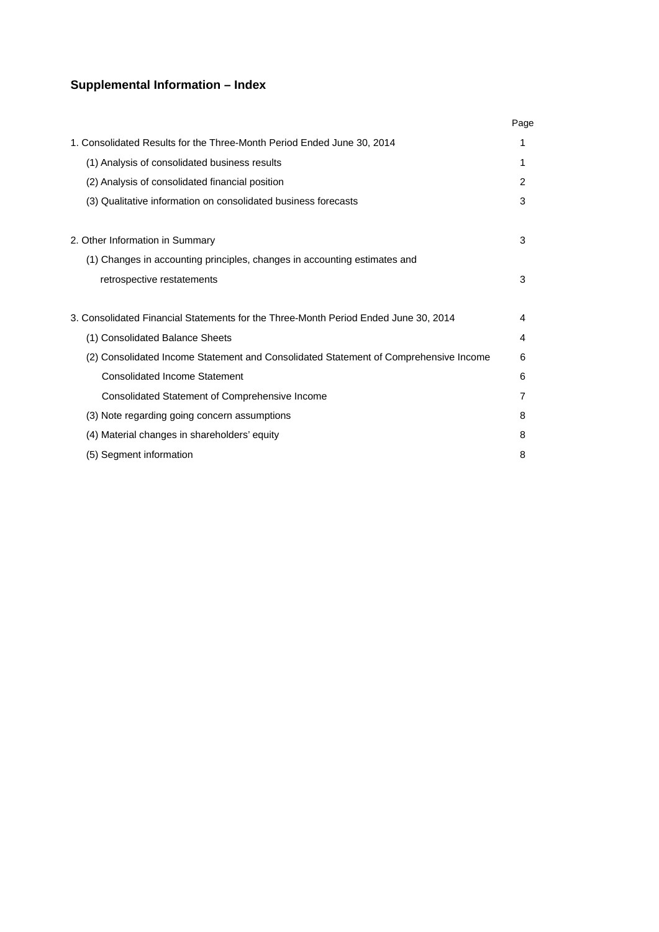# **Supplemental Information – Index**

|                                                                                      | Page |
|--------------------------------------------------------------------------------------|------|
| 1. Consolidated Results for the Three-Month Period Ended June 30, 2014               | 1    |
| (1) Analysis of consolidated business results                                        | 1    |
| (2) Analysis of consolidated financial position                                      | 2    |
| (3) Qualitative information on consolidated business forecasts                       | 3    |
| 2. Other Information in Summary                                                      | 3    |
| (1) Changes in accounting principles, changes in accounting estimates and            |      |
| retrospective restatements                                                           | 3    |
| 3. Consolidated Financial Statements for the Three-Month Period Ended June 30, 2014  | 4    |
| (1) Consolidated Balance Sheets                                                      | 4    |
| (2) Consolidated Income Statement and Consolidated Statement of Comprehensive Income | 6    |
| <b>Consolidated Income Statement</b>                                                 | 6    |
| Consolidated Statement of Comprehensive Income                                       | 7    |
| (3) Note regarding going concern assumptions                                         | 8    |
| (4) Material changes in shareholders' equity                                         | 8    |
| (5) Segment information                                                              | 8    |
|                                                                                      |      |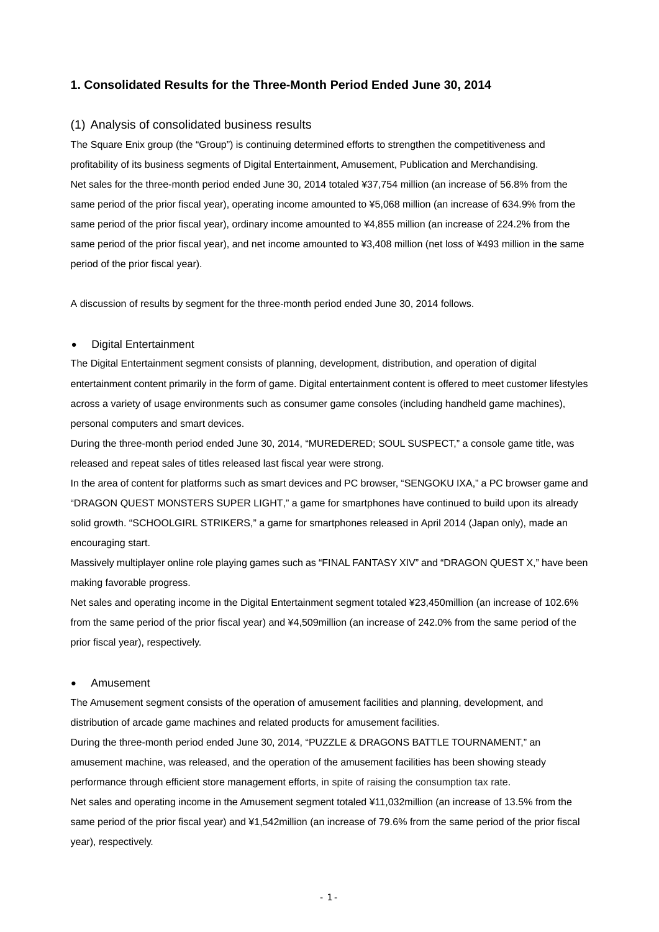### **1. Consolidated Results for the Three-Month Period Ended June 30, 2014**

#### (1) Analysis of consolidated business results

The Square Enix group (the "Group") is continuing determined efforts to strengthen the competitiveness and profitability of its business segments of Digital Entertainment, Amusement, Publication and Merchandising. Net sales for the three-month period ended June 30, 2014 totaled ¥37,754 million (an increase of 56.8% from the same period of the prior fiscal year), operating income amounted to ¥5,068 million (an increase of 634.9% from the same period of the prior fiscal year), ordinary income amounted to ¥4,855 million (an increase of 224.2% from the same period of the prior fiscal year), and net income amounted to ¥3,408 million (net loss of ¥493 million in the same period of the prior fiscal year).

A discussion of results by segment for the three-month period ended June 30, 2014 follows.

#### Digital Entertainment

The Digital Entertainment segment consists of planning, development, distribution, and operation of digital entertainment content primarily in the form of game. Digital entertainment content is offered to meet customer lifestyles across a variety of usage environments such as consumer game consoles (including handheld game machines), personal computers and smart devices.

During the three-month period ended June 30, 2014, "MUREDERED; SOUL SUSPECT," a console game title, was released and repeat sales of titles released last fiscal year were strong.

In the area of content for platforms such as smart devices and PC browser, "SENGOKU IXA," a PC browser game and "DRAGON QUEST MONSTERS SUPER LIGHT," a game for smartphones have continued to build upon its already solid growth. "SCHOOLGIRL STRIKERS," a game for smartphones released in April 2014 (Japan only), made an encouraging start.

Massively multiplayer online role playing games such as "FINAL FANTASY XIV" and "DRAGON QUEST X," have been making favorable progress.

Net sales and operating income in the Digital Entertainment segment totaled ¥23,450million (an increase of 102.6% from the same period of the prior fiscal year) and ¥4,509million (an increase of 242.0% from the same period of the prior fiscal year), respectively.

#### Amusement

The Amusement segment consists of the operation of amusement facilities and planning, development, and distribution of arcade game machines and related products for amusement facilities.

During the three-month period ended June 30, 2014, "PUZZLE & DRAGONS BATTLE TOURNAMENT," an amusement machine, was released, and the operation of the amusement facilities has been showing steady performance through efficient store management efforts, in spite of raising the consumption tax rate. Net sales and operating income in the Amusement segment totaled ¥11,032million (an increase of 13.5% from the same period of the prior fiscal year) and ¥1,542million (an increase of 79.6% from the same period of the prior fiscal year), respectively.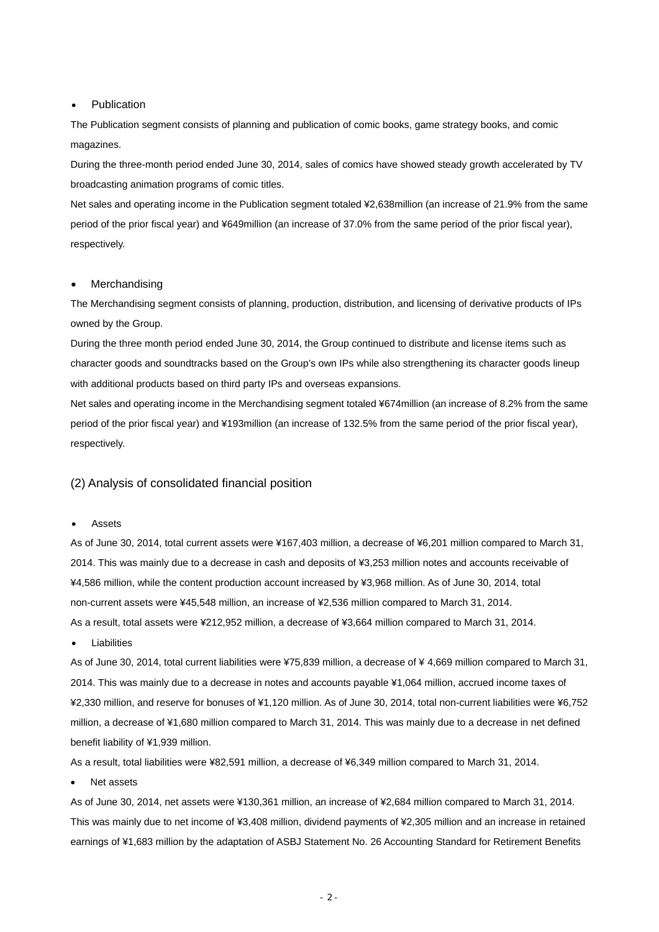#### Publication

The Publication segment consists of planning and publication of comic books, game strategy books, and comic magazines.

During the three-month period ended June 30, 2014, sales of comics have showed steady growth accelerated by TV broadcasting animation programs of comic titles.

Net sales and operating income in the Publication segment totaled ¥2,638million (an increase of 21.9% from the same period of the prior fiscal year) and ¥649million (an increase of 37.0% from the same period of the prior fiscal year), respectively.

#### Merchandising

The Merchandising segment consists of planning, production, distribution, and licensing of derivative products of IPs owned by the Group.

During the three month period ended June 30, 2014, the Group continued to distribute and license items such as character goods and soundtracks based on the Group's own IPs while also strengthening its character goods lineup with additional products based on third party IPs and overseas expansions.

Net sales and operating income in the Merchandising segment totaled ¥674million (an increase of 8.2% from the same period of the prior fiscal year) and ¥193million (an increase of 132.5% from the same period of the prior fiscal year), respectively.

### (2) Analysis of consolidated financial position

#### Assets

As of June 30, 2014, total current assets were ¥167,403 million, a decrease of ¥6,201 million compared to March 31, 2014. This was mainly due to a decrease in cash and deposits of ¥3,253 million notes and accounts receivable of ¥4,586 million, while the content production account increased by ¥3,968 million. As of June 30, 2014, total non-current assets were ¥45,548 million, an increase of ¥2,536 million compared to March 31, 2014. As a result, total assets were ¥212,952 million, a decrease of ¥3,664 million compared to March 31, 2014.

Liabilities

As of June 30, 2014, total current liabilities were ¥75,839 million, a decrease of ¥ 4,669 million compared to March 31, 2014. This was mainly due to a decrease in notes and accounts payable ¥1,064 million, accrued income taxes of ¥2,330 million, and reserve for bonuses of ¥1,120 million. As of June 30, 2014, total non-current liabilities were ¥6,752 million, a decrease of ¥1,680 million compared to March 31, 2014. This was mainly due to a decrease in net defined benefit liability of ¥1,939 million.

As a result, total liabilities were ¥82,591 million, a decrease of ¥6,349 million compared to March 31, 2014.

Net assets

As of June 30, 2014, net assets were ¥130,361 million, an increase of ¥2,684 million compared to March 31, 2014. This was mainly due to net income of ¥3,408 million, dividend payments of ¥2,305 million and an increase in retained earnings of ¥1,683 million by the adaptation of ASBJ Statement No. 26 Accounting Standard for Retirement Benefits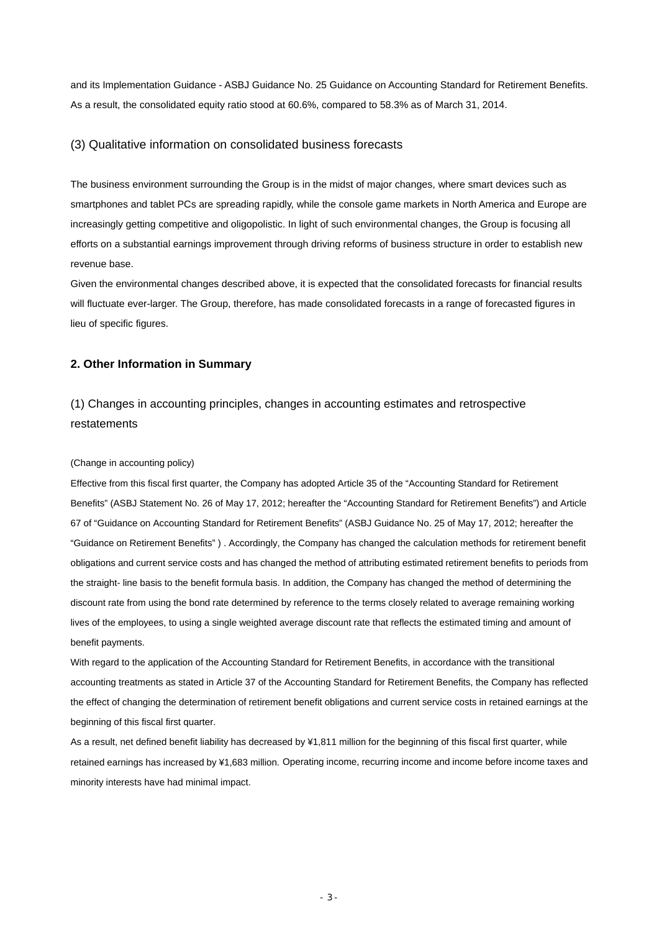and its Implementation Guidance - ASBJ Guidance No. 25 Guidance on Accounting Standard for Retirement Benefits. As a result, the consolidated equity ratio stood at 60.6%, compared to 58.3% as of March 31, 2014.

#### (3) Qualitative information on consolidated business forecasts

The business environment surrounding the Group is in the midst of major changes, where smart devices such as smartphones and tablet PCs are spreading rapidly, while the console game markets in North America and Europe are increasingly getting competitive and oligopolistic. In light of such environmental changes, the Group is focusing all efforts on a substantial earnings improvement through driving reforms of business structure in order to establish new revenue base.

Given the environmental changes described above, it is expected that the consolidated forecasts for financial results will fluctuate ever-larger. The Group, therefore, has made consolidated forecasts in a range of forecasted figures in lieu of specific figures.

#### **2. Other Information in Summary**

# (1) Changes in accounting principles, changes in accounting estimates and retrospective restatements

#### (Change in accounting policy)

Effective from this fiscal first quarter, the Company has adopted Article 35 of the "Accounting Standard for Retirement Benefits" (ASBJ Statement No. 26 of May 17, 2012; hereafter the "Accounting Standard for Retirement Benefits") and Article 67 of "Guidance on Accounting Standard for Retirement Benefits" (ASBJ Guidance No. 25 of May 17, 2012; hereafter the "Guidance on Retirement Benefits" ) . Accordingly, the Company has changed the calculation methods for retirement benefit obligations and current service costs and has changed the method of attributing estimated retirement benefits to periods from the straight- line basis to the benefit formula basis. In addition, the Company has changed the method of determining the discount rate from using the bond rate determined by reference to the terms closely related to average remaining working lives of the employees, to using a single weighted average discount rate that reflects the estimated timing and amount of benefit payments.

With regard to the application of the Accounting Standard for Retirement Benefits, in accordance with the transitional accounting treatments as stated in Article 37 of the Accounting Standard for Retirement Benefits, the Company has reflected the effect of changing the determination of retirement benefit obligations and current service costs in retained earnings at the beginning of this fiscal first quarter.

As a result, net defined benefit liability has decreased by ¥1,811 million for the beginning of this fiscal first quarter, while retained earnings has increased by ¥1,683 million. Operating income, recurring income and income before income taxes and minority interests have had minimal impact.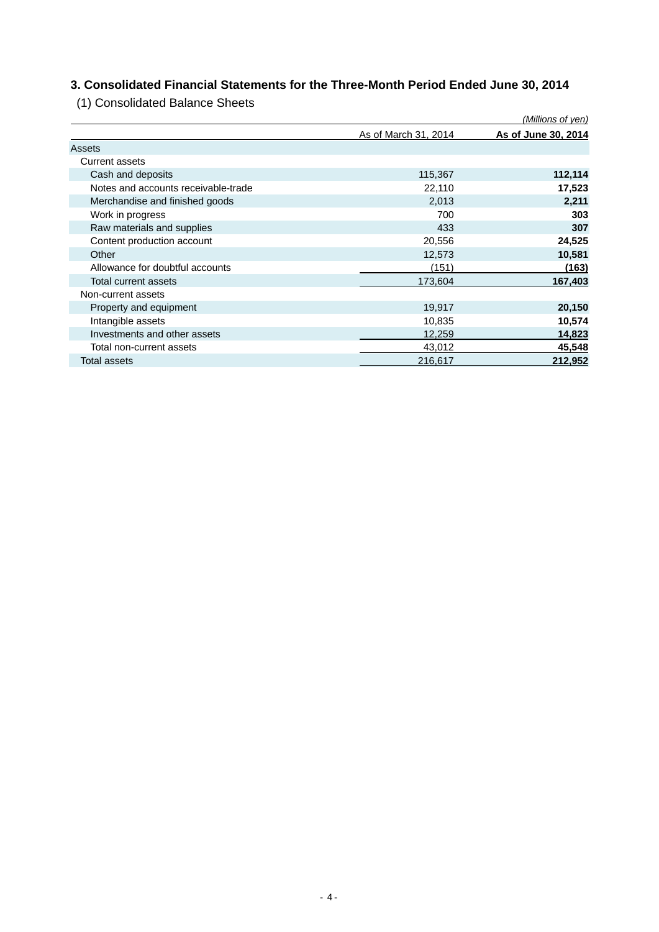# **3. Consolidated Financial Statements for the Three-Month Period Ended June 30, 2014**

(1) Consolidated Balance Sheets

|                                     |                      | (Millions of yen)   |
|-------------------------------------|----------------------|---------------------|
|                                     | As of March 31, 2014 | As of June 30, 2014 |
| Assets                              |                      |                     |
| Current assets                      |                      |                     |
| Cash and deposits                   | 115,367              | 112,114             |
| Notes and accounts receivable-trade | 22,110               | 17,523              |
| Merchandise and finished goods      | 2,013                | 2,211               |
| Work in progress                    | 700                  | 303                 |
| Raw materials and supplies          | 433                  | 307                 |
| Content production account          | 20,556               | 24,525              |
| Other                               | 12,573               | 10,581              |
| Allowance for doubtful accounts     | (151)                | (163)               |
| Total current assets                | 173,604              | 167,403             |
| Non-current assets                  |                      |                     |
| Property and equipment              | 19,917               | 20,150              |
| Intangible assets                   | 10,835               | 10,574              |
| Investments and other assets        | 12,259               | 14,823              |
| Total non-current assets            | 43,012               | 45,548              |
| <b>Total assets</b>                 | 216,617              | 212,952             |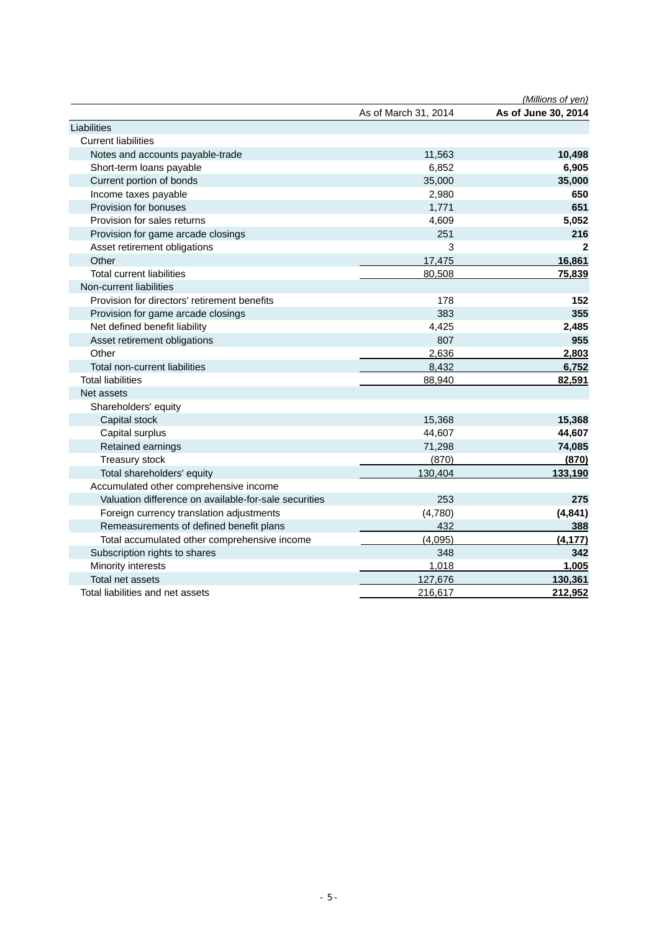|                                                       |                      | (Millions of yen)   |
|-------------------------------------------------------|----------------------|---------------------|
|                                                       | As of March 31, 2014 | As of June 30, 2014 |
| Liabilities                                           |                      |                     |
| <b>Current liabilities</b>                            |                      |                     |
| Notes and accounts payable-trade                      | 11,563               | 10,498              |
| Short-term loans payable                              | 6,852                | 6,905               |
| Current portion of bonds                              | 35,000               | 35,000              |
| Income taxes payable                                  | 2,980                | 650                 |
| Provision for bonuses                                 | 1,771                | 651                 |
| Provision for sales returns                           | 4,609                | 5,052               |
| Provision for game arcade closings                    | 251                  | 216                 |
| Asset retirement obligations                          | 3                    | 2                   |
| Other                                                 | 17,475               | 16,861              |
| <b>Total current liabilities</b>                      | 80,508               | 75,839              |
| Non-current liabilities                               |                      |                     |
| Provision for directors' retirement benefits          | 178                  | 152                 |
| Provision for game arcade closings                    | 383                  | 355                 |
| Net defined benefit liability                         | 4,425                | 2,485               |
| Asset retirement obligations                          | 807                  | 955                 |
| Other                                                 | 2,636                | 2,803               |
| Total non-current liabilities                         | 8,432                | 6,752               |
| <b>Total liabilities</b>                              | 88,940               | 82,591              |
| Net assets                                            |                      |                     |
| Shareholders' equity                                  |                      |                     |
| Capital stock                                         | 15,368               | 15,368              |
| Capital surplus                                       | 44,607               | 44,607              |
| Retained earnings                                     | 71,298               | 74,085              |
| Treasury stock                                        | (870)                | (870)               |
| Total shareholders' equity                            | 130,404              | 133,190             |
| Accumulated other comprehensive income                |                      |                     |
| Valuation difference on available-for-sale securities | 253                  | 275                 |
| Foreign currency translation adjustments              | (4,780)              | (4, 841)            |
| Remeasurements of defined benefit plans               | 432                  | 388                 |
| Total accumulated other comprehensive income          | (4,095)              | (4, 177)            |
| Subscription rights to shares                         | 348                  | 342                 |
| Minority interests                                    | 1,018                | 1,005               |
| Total net assets                                      | 127,676              | 130,361             |
| Total liabilities and net assets                      | 216,617              | 212,952             |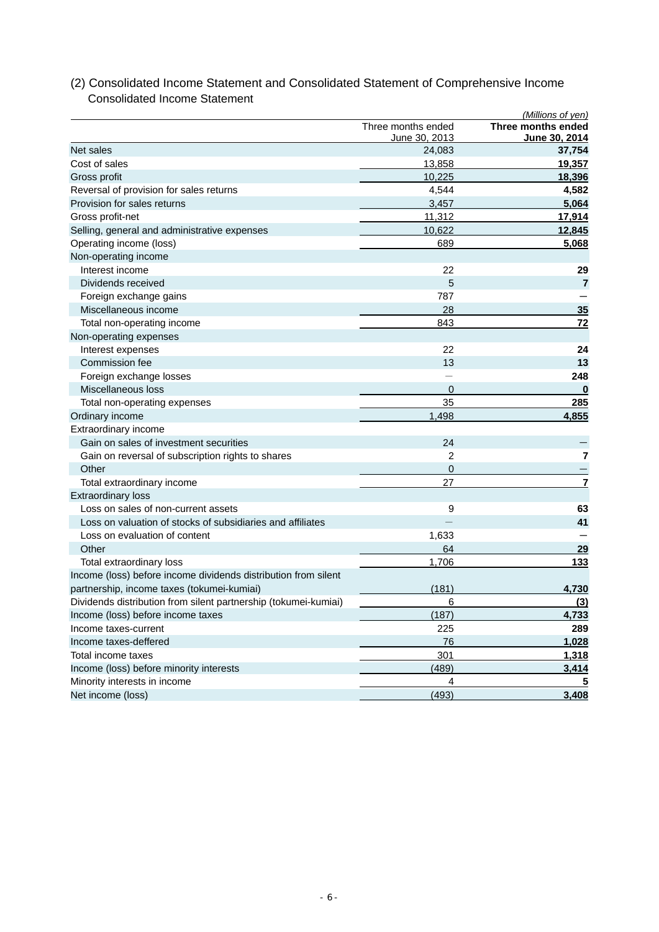### *(Millions of yen)*  Three months ended **Three months ended** June 30, 2013 **June 30, 2014** Net sales 24,083 **37,754** Cost of sales 13,858 **19,357** Gross profit 10,225 **18,396**  Reversal of provision for sales returns **4,582 4,582** Provision for sales returns 3,457 **5,064** Gross profit-net 11,312 **17,914** Selling, general and administrative expenses 10,622 12,845 Operating income (loss) 689 **5,068** Non-operating income **Interest income 22** 29 Dividends received 5 **7**  Foreign exchange gains **787**  Miscellaneous income 28 **35**  Total non-operating income 843 **72** Non-operating expenses **Interest expenses** 22 24 **Commission fee 13** 13 13 Foreign exchange losses - **248** Miscellaneous loss 0 **0** Total non-operating expenses 35 **285** Ordinary income 1,498 **4,855** Extraordinary income Gain on sales of investment securities 24 Gain on reversal of subscription rights to shares **2** 2 **7 7** Other 2012 - 2022 - 2022 - 2022 - 2022 - 2022 - 2022 - 2022 - 2022 - 2022 - 2022 - 2022 - 2022 - 2022 - 2022 -Total extraordinary income **27** 27 Extraordinary loss Loss on sales of non-current assets 63 Loss on valuation of stocks of subsidiaries and affiliates - **41** Loss on evaluation of content 1,633 Other 64 **29** Total extraordinary loss 1,706 **133** Income (loss) before income dividends distribution from silent partnership, income taxes (tokumei-kumiai) (181) **4,730**  Dividends distribution from silent partnership (tokumei-kumiai) 6 **(3)** Income (loss) before income taxes (187) **4,733**  Income taxes-current 225 **289**  Income taxes-deffered 76 **1,028** Total income taxes **1,318 1,318** Income (loss) before minority interests **3,414** Minority interests in income 4 **5**  Net income (loss) (493) **3,408**

# (2) Consolidated Income Statement and Consolidated Statement of Comprehensive Income Consolidated Income Statement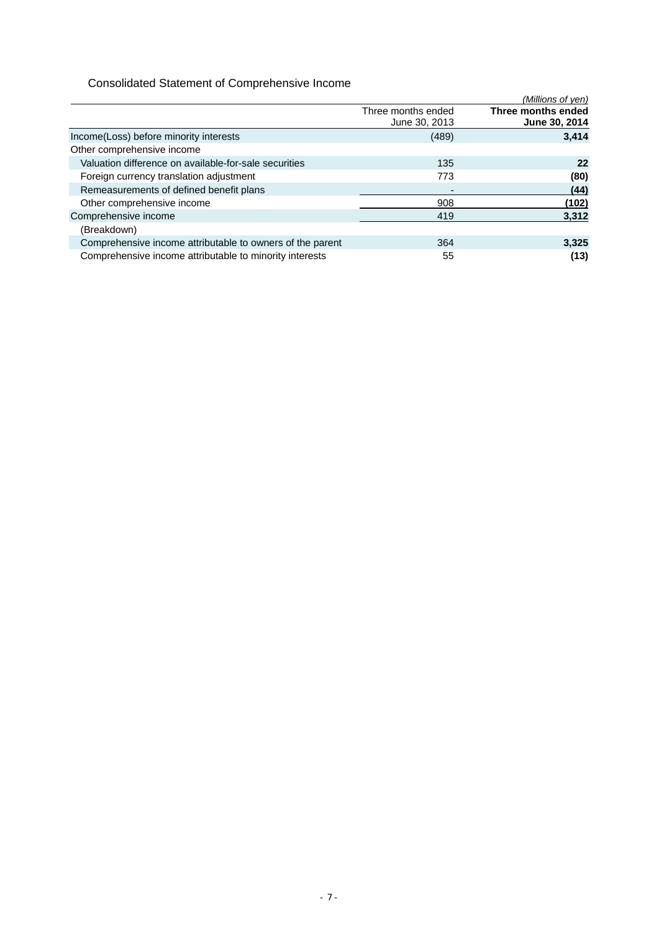# Consolidated Statement of Comprehensive Income

|                                                           |                                     | (Millions of yen)                   |
|-----------------------------------------------------------|-------------------------------------|-------------------------------------|
|                                                           | Three months ended<br>June 30, 2013 | Three months ended<br>June 30, 2014 |
| Income(Loss) before minority interests                    | (489)                               | 3,414                               |
| Other comprehensive income                                |                                     |                                     |
| Valuation difference on available-for-sale securities     | 135                                 | 22                                  |
| Foreign currency translation adjustment                   | 773                                 | (80)                                |
| Remeasurements of defined benefit plans                   |                                     | (44)                                |
| Other comprehensive income                                | 908                                 | (102)                               |
| Comprehensive income                                      | 419                                 | 3,312                               |
| (Breakdown)                                               |                                     |                                     |
| Comprehensive income attributable to owners of the parent | 364                                 | 3,325                               |
| Comprehensive income attributable to minority interests   | 55                                  | (13)                                |